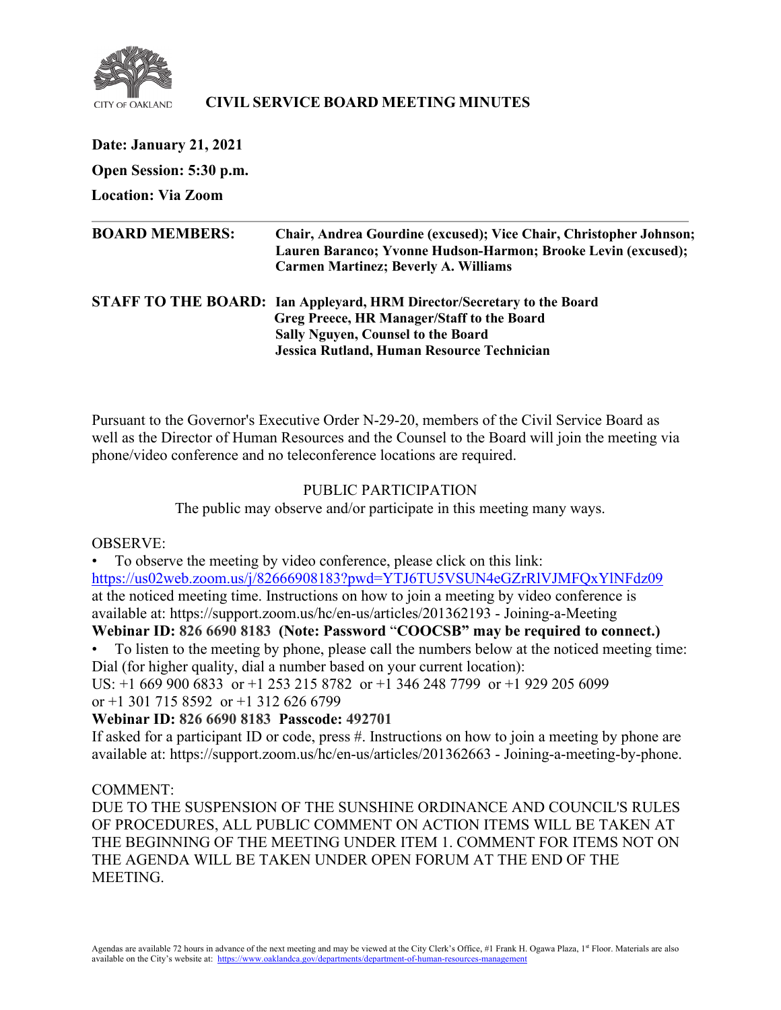

## **CIVIL SERVICE BOARD MEETING MINUTES**

| <b>Date: January 21, 2021</b> |                                                                                                                                                                                                                 |
|-------------------------------|-----------------------------------------------------------------------------------------------------------------------------------------------------------------------------------------------------------------|
| Open Session: 5:30 p.m.       |                                                                                                                                                                                                                 |
| <b>Location: Via Zoom</b>     |                                                                                                                                                                                                                 |
| <b>BOARD MEMBERS:</b>         | Chair, Andrea Gourdine (excused); Vice Chair, Christopher Johnson;<br>Lauren Baranco; Yvonne Hudson-Harmon; Brooke Levin (excused);<br><b>Carmen Martinez; Beverly A. Williams</b>                              |
|                               | STAFF TO THE BOARD: Ian Appleyard, HRM Director/Secretary to the Board<br>Greg Preece, HR Manager/Staff to the Board<br><b>Sally Nguyen, Counsel to the Board</b><br>Jessica Rutland, Human Resource Technician |

Pursuant to the Governor's Executive Order N-29-20, members of the Civil Service Board as well as the Director of Human Resources and the Counsel to the Board will join the meeting via phone/video conference and no teleconference locations are required.

# PUBLIC PARTICIPATION

The public may observe and/or participate in this meeting many ways.

## OBSERVE:

• To observe the meeting by video conference, please click on this link: <https://us02web.zoom.us/j/82666908183?pwd=YTJ6TU5VSUN4eGZrRlVJMFQxYlNFdz09> at the noticed meeting time. Instructions on how to join a meeting by video conference is available at: https://support.zoom.us/hc/en-us/articles/201362193 - Joining-a-Meeting

# **Webinar ID: 826 6690 8183 (Note: Password** "**COOCSB" may be required to connect.)**

• To listen to the meeting by phone, please call the numbers below at the noticed meeting time: Dial (for higher quality, dial a number based on your current location):

US: +1 669 900 6833 or +1 253 215 8782 or +1 346 248 7799 or +1 929 205 6099 or +1 301 715 8592 or +1 312 626 6799

## **Webinar ID: 826 6690 8183 Passcode: 492701**

If asked for a participant ID or code, press #. Instructions on how to join a meeting by phone are available at: https://support.zoom.us/hc/en-us/articles/201362663 - Joining-a-meeting-by-phone.

## COMMENT:

DUE TO THE SUSPENSION OF THE SUNSHINE ORDINANCE AND COUNCIL'S RULES OF PROCEDURES, ALL PUBLIC COMMENT ON ACTION ITEMS WILL BE TAKEN AT THE BEGINNING OF THE MEETING UNDER ITEM 1. COMMENT FOR ITEMS NOT ON THE AGENDA WILL BE TAKEN UNDER OPEN FORUM AT THE END OF THE MEETING.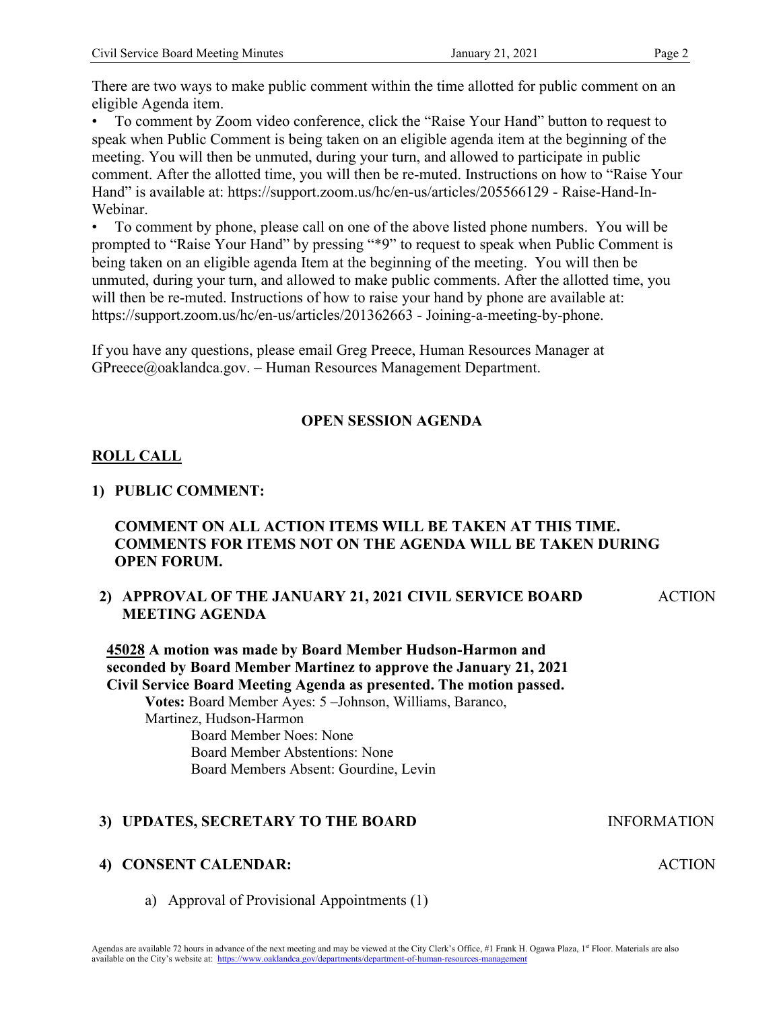There are two ways to make public comment within the time allotted for public comment on an eligible Agenda item.

• To comment by Zoom video conference, click the "Raise Your Hand" button to request to speak when Public Comment is being taken on an eligible agenda item at the beginning of the meeting. You will then be unmuted, during your turn, and allowed to participate in public comment. After the allotted time, you will then be re-muted. Instructions on how to "Raise Your Hand" is available at: https://support.zoom.us/hc/en-us/articles/205566129 - Raise-Hand-In-Webinar.

• To comment by phone, please call on one of the above listed phone numbers. You will be prompted to "Raise Your Hand" by pressing "\*9" to request to speak when Public Comment is being taken on an eligible agenda Item at the beginning of the meeting. You will then be unmuted, during your turn, and allowed to make public comments. After the allotted time, you will then be re-muted. Instructions of how to raise your hand by phone are available at: https://support.zoom.us/hc/en-us/articles/201362663 - Joining-a-meeting-by-phone.

If you have any questions, please email Greg Preece, Human Resources Manager at GPreece@oaklandca.gov. – Human Resources Management Department.

## **OPEN SESSION AGENDA**

## **ROLL CALL**

#### **1) PUBLIC COMMENT:**

## **COMMENT ON ALL ACTION ITEMS WILL BE TAKEN AT THIS TIME. COMMENTS FOR ITEMS NOT ON THE AGENDA WILL BE TAKEN DURING OPEN FORUM.**

#### **2) APPROVAL OF THE JANUARY 21, 2021 CIVIL SERVICE BOARD MEETING AGENDA**

ACTION

**ACTION** 

**45028 A motion was made by Board Member Hudson-Harmon and seconded by Board Member Martinez to approve the January 21, 2021 Civil Service Board Meeting Agenda as presented. The motion passed. Votes:** Board Member Ayes: 5 –Johnson, Williams, Baranco, Martinez, Hudson-Harmon

Board Member Noes: None Board Member Abstentions: None Board Members Absent: Gourdine, Levin

## **3) UPDATES, SECRETARY TO THE BOARD INFORMATION**

#### **4) CONSENT CALENDAR:**

a) Approval of Provisional Appointments (1)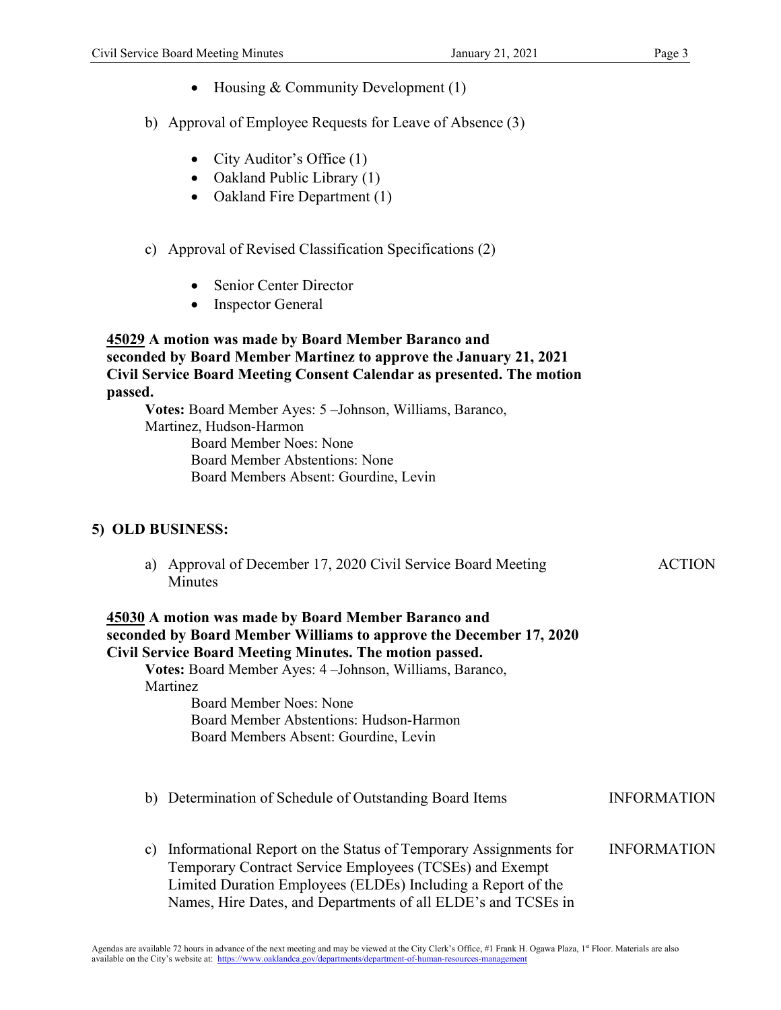- Housing & Community Development (1)
- b) Approval of Employee Requests for Leave of Absence (3)
	- City Auditor's Office (1)
	- Oakland Public Library (1)
	- Oakland Fire Department (1)
- c) Approval of Revised Classification Specifications (2)
	- Senior Center Director
	- Inspector General

## **45029 A motion was made by Board Member Baranco and seconded by Board Member Martinez to approve the January 21, 2021 Civil Service Board Meeting Consent Calendar as presented. The motion passed.**

**Votes:** Board Member Ayes: 5 –Johnson, Williams, Baranco, Martinez, Hudson-Harmon Board Member Noes: None Board Member Abstentions: None Board Members Absent: Gourdine, Levin

## **5) OLD BUSINESS:**

a) Approval of December 17, 2020 Civil Service Board Meeting Minutes ACTION

## **45030 A motion was made by Board Member Baranco and seconded by Board Member Williams to approve the December 17, 2020 Civil Service Board Meeting Minutes. The motion passed.**

**Votes:** Board Member Ayes: 4 –Johnson, Williams, Baranco, Martinez

Board Member Noes: None Board Member Abstentions: Hudson-Harmon Board Members Absent: Gourdine, Levin

- b) Determination of Schedule of Outstanding Board Items **INFORMATION**
- c) Informational Report on the Status of Temporary Assignments for Temporary Contract Service Employees (TCSEs) and Exempt Limited Duration Employees (ELDEs) Including a Report of the Names, Hire Dates, and Departments of all ELDE's and TCSEs in INFORMATION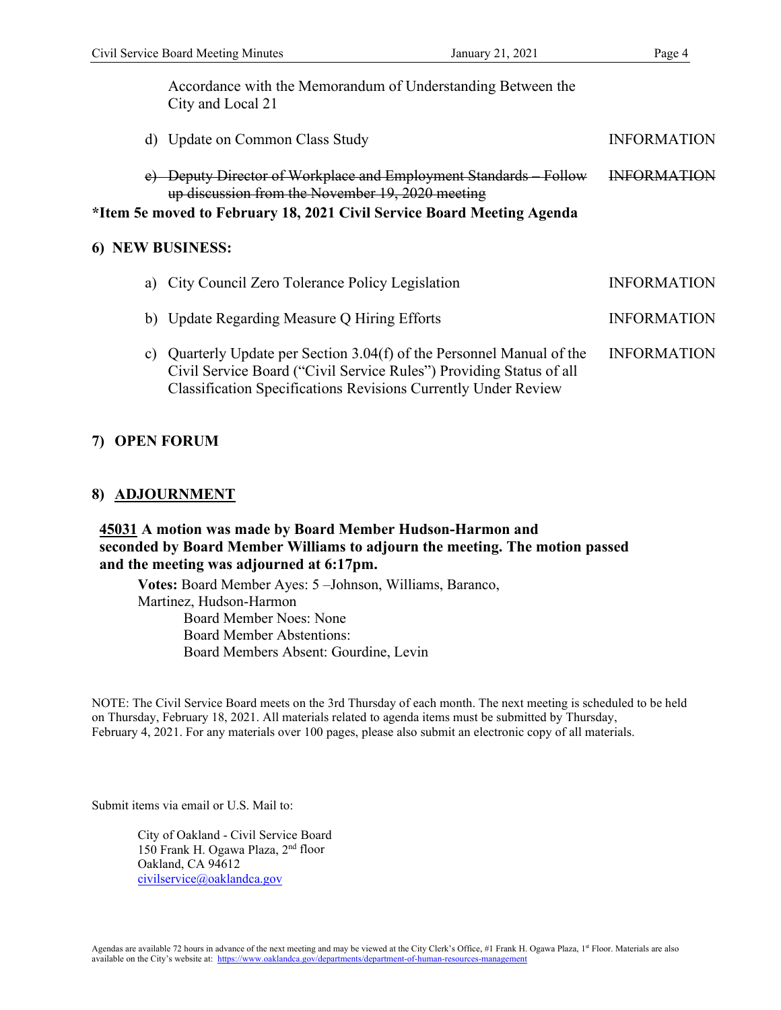Accordance with the Memorandum of Understanding Between the City and Local 21

d) Update on Common Class Study INFORMATION e) Deputy Director of Workplace and Employment Standards – Follow up discussion from the November 19, 2020 meeting INFORMATION

**\*Item 5e moved to February 18, 2021 Civil Service Board Meeting Agenda**

## **6) NEW BUSINESS:**

| a) City Council Zero Tolerance Policy Legislation                                                                                                                                                                      | <b>INFORMATION</b> |
|------------------------------------------------------------------------------------------------------------------------------------------------------------------------------------------------------------------------|--------------------|
| b) Update Regarding Measure Q Hiring Efforts                                                                                                                                                                           | <b>INFORMATION</b> |
| c) Quarterly Update per Section 3.04(f) of the Personnel Manual of the<br>Civil Service Board ("Civil Service Rules") Providing Status of all<br><b>Classification Specifications Revisions Currently Under Review</b> | <b>INFORMATION</b> |

## **7) OPEN FORUM**

## **8) ADJOURNMENT**

## **45031 A motion was made by Board Member Hudson-Harmon and seconded by Board Member Williams to adjourn the meeting. The motion passed and the meeting was adjourned at 6:17pm.**

**Votes:** Board Member Ayes: 5 –Johnson, Williams, Baranco, Martinez, Hudson-Harmon Board Member Noes: None Board Member Abstentions: Board Members Absent: Gourdine, Levin

NOTE: The Civil Service Board meets on the 3rd Thursday of each month. The next meeting is scheduled to be held on Thursday, February 18, 2021. All materials related to agenda items must be submitted by Thursday, February 4, 2021. For any materials over 100 pages, please also submit an electronic copy of all materials.

Submit items via email or U.S. Mail to:

City of Oakland - Civil Service Board 150 Frank H. Ogawa Plaza, 2nd floor Oakland, CA 94612 [civilservice@oaklandca.gov](mailto:civilservice@oaklandca.gov)